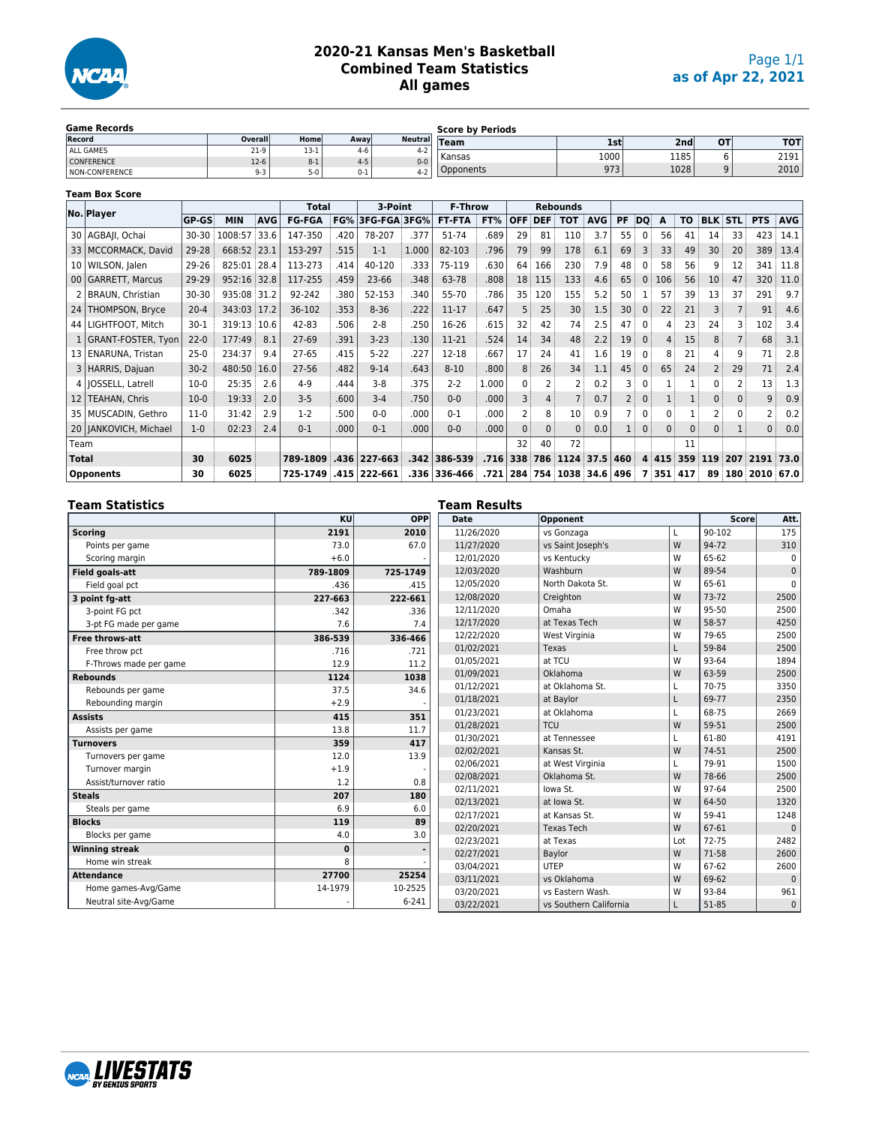

# **2020-21 Kansas Men's Basketball Combined Team Statistics All games**

| <b>Game Records</b> |         |         |         |         | <b>Score by Periods</b> |      |                 |           |      |
|---------------------|---------|---------|---------|---------|-------------------------|------|-----------------|-----------|------|
| Record              | Overall | Home    | Awayl   |         | Neutral Team            | 1st  | 2 <sub>nd</sub> | <b>OT</b> | тот  |
| ALL GAMES           | $21-9$  | $13-1$  | $4-6$   | 4-2.    | Kansas                  | 1000 | 1185            |           | 2191 |
| <b>CONFERENCE</b>   | $12-6$  | $8 - 1$ | $4 - 5$ | $0 - 0$ |                         |      |                 |           |      |
| NON-CONFERENCE      | $9 - 3$ | $5-0$   | $0 - 1$ | $4 - 2$ | )pponents               | 973  | 1028            |           | 2010 |

## **Team Box Score**

|                 | No. Player              |              |             |            | <b>Total</b>  |      | 3-Point      |       | <b>F-Throw</b> |       | <b>Rebounds</b> |            |               |            |           |              |         |              |              |                |              |            |
|-----------------|-------------------------|--------------|-------------|------------|---------------|------|--------------|-------|----------------|-------|-----------------|------------|---------------|------------|-----------|--------------|---------|--------------|--------------|----------------|--------------|------------|
|                 |                         | <b>GP-GS</b> | <b>MIN</b>  | <b>AVG</b> | <b>FG-FGA</b> | FG%  | 3FG-FGA 3FG% |       | <b>FT-FTA</b>  | FT%   | <b>OFF</b>      | <b>DEF</b> | <b>TOT</b>    | <b>AVG</b> | <b>PF</b> | DO           | A       | <b>TO</b>    |              | <b>BLK STL</b> | <b>PTS</b>   | <b>AVG</b> |
| 30              | AGBAJI, Ochai           | $30 - 30$    | 1008:57     | 33.6       | 147-350       | 420  | 78-207       | .377  | 51-74          | 689   | 29              | 81         | 110           | 3.7        | 55        | $\Omega$     | 56      | 41           | 14           | 33             | 423          | 14.1       |
| 33 <sup>1</sup> | MCCORMACK, David        | 29-28        | 668:52 23.1 |            | 153-297       | .515 | $1 - 1$      | 1.000 | 82-103         | .796  | 79              | 99         | 178           | 6.1        | 69        | 3            | 33      | 49           | 30           | 20             | 389          | 13.4       |
| 10 <sub>1</sub> | WILSON, Jalen           | 29-26        | 825:01      | 28.4       | 113-273       | .414 | 40-120       | .333  | 75-119         | .630  | 64              | 166        | 230           | 7.9        | 48        | $\Omega$     | 58      | 56           | 9            | 12             | 341          | 11.8       |
| 00 <sub>1</sub> | <b>GARRETT, Marcus</b>  | 29-29        | 952:16 32.8 |            | 117-255       | .459 | 23-66        | .348  | 63-78          | .808  | 18 <sup>3</sup> | 115        | 133           | 4.6        | 65        | 0            | 106     | 56           | 10           | 47             | 320          | 11.0       |
|                 | 2   BRAUN, Christian    | $30 - 30$    | 935:08      | 31.2       | 92-242        | 380  | 52-153       | .340  | 55-70          | .786  | 35              | 120        | 155           | 5.2        | 50        |              | 57      | 39           | 13           | 37             | 291          | 9.7        |
| 24              | THOMPSON, Bryce         | $20 - 4$     | 343:03 17.2 |            | 36-102        | .353 | $8 - 36$     | .222  | $11 - 17$      | .647  | 5               | 25         | 30            | 1.5        | 30        | $\mathbf 0$  | 22      | 21           |              |                | 91           | 4.6        |
| 44              | LIGHTFOOT, Mitch        | 30-1         | 319:13 10.6 |            | 42-83         | 506  | $2 - 8$      | .250  | 16-26          | .615  | 32              | 42         | 74            | 2.5        | 47        | $\Omega$     | 4       | 23           | 24           | 3              | 102          | 3.4        |
|                 | GRANT-FOSTER, Tyon      | $22 - 0$     | 177:49      | 8.1        | $27-69$       | .391 | $3 - 23$     | .130  | $11-21$        | .524  | 14              | 34         | 48            | 2.2        | 19        | $\mathbf{0}$ | 4       | 15           | 8            |                | 68           | 3.1        |
| 13 <sub>1</sub> | ENARUNA, Tristan        | $25-0$       | 234:37      | 9.4        | $27 - 65$     | .415 | $5 - 22$     | .227  | $12 - 18$      | .667  | 17              | 24         | 41            | 1.6        | 19        | $\Omega$     | 8       | 21           |              | 9              | 71           | 2.8        |
|                 | 3   HARRIS, Dajuan      | $30-2$       | 480:50      | 16.0       | 27-56         | .482 | $9 - 14$     | .643  | $8 - 10$       | .800  | 8               | 26         | 34            | 1.1        | 45        | $\mathbf{0}$ | 65      | 24           |              | 29             | 71           | 2.4        |
|                 | 4   JOSSELL, Latrell    | $10-0$       | 25:35       | 2.6        | $4-9$         | .444 | $3 - 8$      | .375  | $2 - 2$        | 1.000 | 0               |            |               | 0.2        |           | $\Omega$     |         |              |              | 2              | 13           | 1.3        |
| 12              | <b>TEAHAN, Chris</b>    | $10-0$       | 19:33       | 2.0        | $3 - 5$       | .600 | $3 - 4$      | .750  | $0 - 0$        | .000  | 3               | 4          |               | 0.7        | 2 :       | $\mathbf{0}$ |         |              | $\mathbf{0}$ | $\mathbf{0}$   | 9            | 0.9        |
| 35 I            | MUSCADIN, Gethro        | $11-0$       | 31:42       | 2.9        | $1-2$         | 500  | $0 - 0$      | .000  | $0 - 1$        | .000  |                 | 8          | 10            | 0.9        |           | $\Omega$     | 0       |              |              | $\Omega$       |              | 0.2        |
|                 | 20   JANKOVICH, Michael | $1-0$        | 02:23       | 2.4        | $0 - 1$       | .000 | $0 - 1$      | .000  | $0 - 0$        | .000. | $\mathbf{0}$    | $\Omega$   | $\Omega$      | 0.0        |           | $\mathbf{0}$ | 0       | $\mathbf{0}$ | 0            |                | $\mathbf{0}$ | 0.0        |
| Team            |                         |              |             |            |               |      |              |       |                |       | 32              | 40         | 72            |            |           |              |         | 11           |              |                |              |            |
| Total           |                         | 30           | 6025        |            | 789-1809      | .436 | 227-663      | .342  | 386-539        | .716  | 338             | 786        | 1124          | 37.5       | 460       |              | 4 4 1 5 | 359          | 119          | 207            | 2191 73.0    |            |
|                 | <b>Opponents</b>        | 30           | 6025        |            | 725-1749      | .415 | 222-661      | .336  | 336-466        | .721  | 284             |            | 754 1038 34.6 |            | 496       | 7            | 351 417 |              | 89           | 180            | 2010         | 67.0       |

| <b>Team Statistics</b>                   |                  |           | <b>Team Results</b> |                        |     |           |              |  |  |  |  |
|------------------------------------------|------------------|-----------|---------------------|------------------------|-----|-----------|--------------|--|--|--|--|
|                                          | KU<br>OPP        |           | Date                | Opponent               |     | Scorel    | Att.         |  |  |  |  |
| <b>Scoring</b>                           | 2191             | 2010      | 11/26/2020          | vs Gonzaga             |     | 90-102    | 175          |  |  |  |  |
| Points per game                          | 73.0             | 67.0      | 11/27/2020          | vs Saint Joseph's      | W   | 94-72     | 310          |  |  |  |  |
| Scoring margin                           | $+6.0$           |           | 12/01/2020          | vs Kentuckv            | W   | 65-62     | $\mathbf 0$  |  |  |  |  |
| Field goals-att                          | 789-1809         | 725-1749  | 12/03/2020          | Washburn               | W   | 89-54     | $\mathbf{0}$ |  |  |  |  |
| Field goal pct                           | .436             | .415      | 12/05/2020          | North Dakota St.       | W   | 65-61     | $\Omega$     |  |  |  |  |
| 3 point fg-att                           | 227-663          | 222-661   | 12/08/2020          | Creighton              | W   | 73-72     | 2500         |  |  |  |  |
| 3-point FG pct                           | .342             | .336      | 12/11/2020          | Omaha                  | W   | 95-50     | 2500         |  |  |  |  |
| 3-pt FG made per game                    | 7.6              | 7.4       | 12/17/2020          | at Texas Tech          | W   | 58-57     | 4250         |  |  |  |  |
| <b>Free throws-att</b>                   | 386-539          | 336-466   | 12/22/2020          | West Virginia          | W   | 79-65     | 2500         |  |  |  |  |
| Free throw pct                           | .716             | .721      | 01/02/2021          | Texas                  | L   | 59-84     | 2500         |  |  |  |  |
| F-Throws made per game                   | 12.9             | 11.2      | 01/05/2021          | at TCU                 | W   | 93-64     | 1894         |  |  |  |  |
| <b>Rebounds</b>                          | 1124             | 1038      | 01/09/2021          | Oklahoma               | W   | 63-59     | 2500         |  |  |  |  |
| Rebounds per game                        | 37.5             | 34.6      | 01/12/2021          | at Oklahoma St.        |     | 70-75     | 3350         |  |  |  |  |
| Rebounding margin                        | $+2.9$           |           | 01/18/2021          | at Baylor              | L   | 69-77     | 2350         |  |  |  |  |
| <b>Assists</b>                           | 415              | 351       | 01/23/2021          | at Oklahoma            | L   | 68-75     | 2669         |  |  |  |  |
| Assists per game                         | 13.8             | 11.7      | 01/28/2021          | <b>TCU</b>             | W   | 59-51     | 2500         |  |  |  |  |
| <b>Turnovers</b>                         | 359              | 417       | 01/30/2021          | at Tennessee           |     | 61-80     | 4191         |  |  |  |  |
| Turnovers per game                       | 12.0             | 13.9      | 02/02/2021          | Kansas St.             | W   | 74-51     | 2500         |  |  |  |  |
| Turnover margin                          | $+1.9$           |           | 02/06/2021          | at West Virginia       | L   | 79-91     | 1500         |  |  |  |  |
| Assist/turnover ratio                    | 1.2              | 0.8       | 02/08/2021          | Oklahoma St.           | W   | 78-66     | 2500         |  |  |  |  |
| <b>Steals</b>                            | 207              | 180       | 02/11/2021          | lowa St.               | W   | 97-64     | 2500         |  |  |  |  |
| Steals per game                          | 6.9              | 6.0       | 02/13/2021          | at Iowa St.            | W   | 64-50     | 1320         |  |  |  |  |
| <b>Blocks</b>                            | 119              | 89        | 02/17/2021          | at Kansas St.          | W   | 59-41     | 1248         |  |  |  |  |
| Blocks per game                          | 4.0              | 3.0       | 02/20/2021          | <b>Texas Tech</b>      | W   | 67-61     | $\Omega$     |  |  |  |  |
|                                          |                  |           | 02/23/2021          | at Texas               | Lot | $72 - 75$ | 2482         |  |  |  |  |
| <b>Winning streak</b><br>Home win streak | $\mathbf 0$<br>8 |           | 02/27/2021          | Baylor                 | W   | 71-58     | 2600         |  |  |  |  |
|                                          |                  |           | 03/04/2021          | <b>UTEP</b>            | W   | 67-62     | 2600         |  |  |  |  |
| <b>Attendance</b>                        | 27700            | 25254     | 03/11/2021          | vs Oklahoma            | W   | 69-62     | $\mathbf{0}$ |  |  |  |  |
| Home games-Avg/Game                      | 14-1979          | 10-2525   | 03/20/2021          | vs Eastern Wash.       | W   | 93-84     | 961          |  |  |  |  |
| Neutral site-Avg/Game                    |                  | $6 - 241$ | 03/22/2021          | vs Southern California |     | 51-85     | $\mathbf 0$  |  |  |  |  |